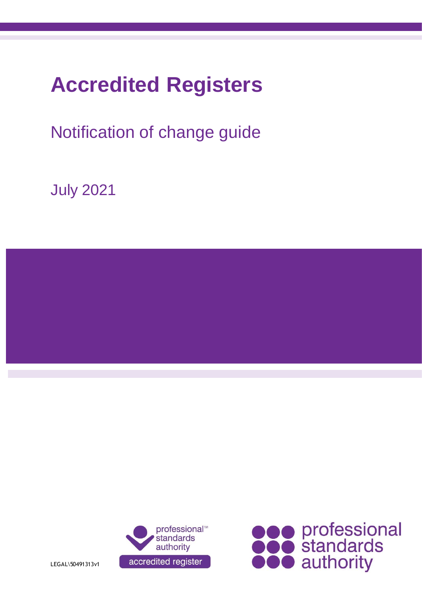# **Accredited Registers**

## Notification of change guide

July 2021





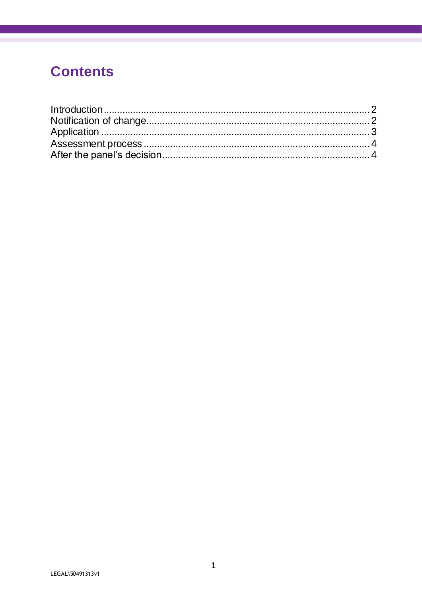### **Contents**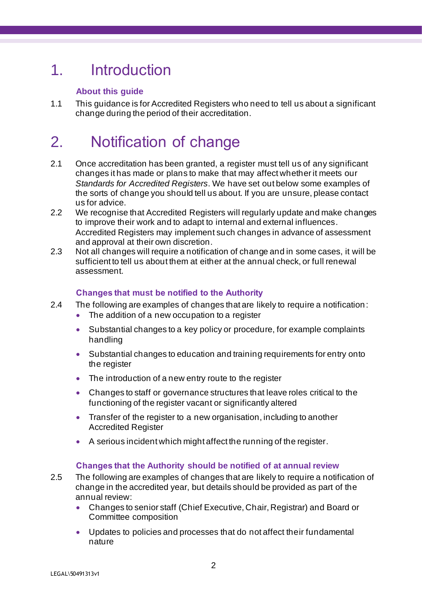### 1. Introduction

#### **About this guide**

1.1 This guidance is for Accredited Registers who need to tell us about a significant change during the period of their accreditation.

### 2. Notification of change

- 2.1 Once accreditation has been granted, a register must tell us of any significant changes it has made or plans to make that may affect whether it meets our *Standards for Accredited Registers*. We have set out below some examples of the sorts of change you should tell us about. If you are unsure, please contact us for advice.
- 2.2 We recognise that Accredited Registers will regularly update and make changes to improve their work and to adapt to internal and external influences. Accredited Registers may implement such changes in advance of assessment and approval at their own discretion.
- 2.3 Not all changes will require a notification of change and in some cases, it will be sufficient to tell us about them at either at the annual check, or full renewal assessment.

#### **Changes that must be notified to the Authority**

- 2.4 The following are examples of changes that are likely to require a notification:
	- The addition of a new occupation to a register
	- Substantial changes to a key policy or procedure, for example complaints handling
	- Substantial changes to education and training requirements for entry onto the register
	- The introduction of a new entry route to the register
	- Changes to staff or governance structures that leave roles critical to the functioning of the register vacant or significantly altered
	- Transfer of the register to a new organisation, including to another Accredited Register
	- A serious incident which might affect the running of the register.

#### **Changes that the Authority should be notified of at annual review**

- 2.5 The following are examples of changes that are likely to require a notification of change in the accredited year, but details should be provided as part of the annual review:
	- Changes to senior staff (Chief Executive, Chair, Registrar) and Board or Committee composition
	- Updates to policies and processes that do not affect their fundamental nature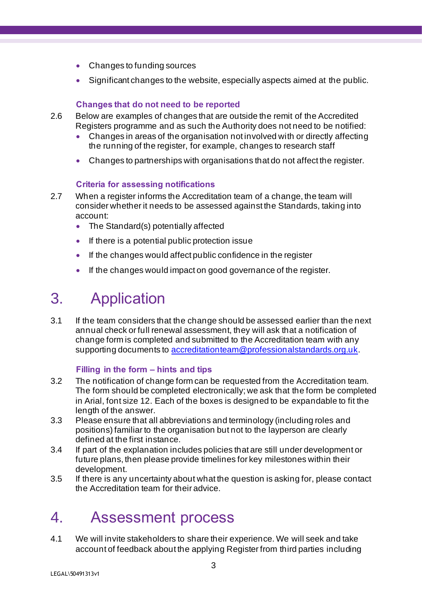- Changes to funding sources
- Significant changes to the website, especially aspects aimed at the public.

#### **Changes that do not need to be reported**

- 2.6 Below are examples of changes that are outside the remit of the Accredited Registers programme and as such the Authority does not need to be notified:
	- Changes in areas of the organisation not involved with or directly affecting the running of the register, for example, changes to research staff
	- Changes to partnerships with organisations that do not affect the register.

#### **Criteria for assessing notifications**

- 2.7 When a register informs the Accreditation team of a change, the team will consider whether it needs to be assessed against the Standards, taking into account:
	- The Standard(s) potentially affected
	- If there is a potential public protection issue
	- If the changes would affect public confidence in the register
	- If the changes would impact on good governance of the register.

### 3. Application

3.1 If the team considers that the change should be assessed earlier than the next annual check or full renewal assessment, they will ask that a notification of change form is completed and submitted to the Accreditation team with any supporting documents to [accreditationteam@professionalstandards.org.uk](mailto:accreditationteam@professionalstandards.org.uk).

#### **Filling in the form – hints and tips**

- 3.2 The notification of change form can be requested from the Accreditation team. The form should be completed electronically; we ask that the form be completed in Arial, font size 12. Each of the boxes is designed to be expandable to fit the length of the answer.
- 3.3 Please ensure that all abbreviations and terminology (including roles and positions) familiar to the organisation but not to the layperson are clearly defined at the first instance.
- 3.4 If part of the explanation includes policies that are still under development or future plans, then please provide timelines for key milestones within their development.
- 3.5 If there is any uncertainty about what the question is asking for, please contact the Accreditation team for their advice.

### 4. Assessment process

4.1 We will invite stakeholders to share their experience. We will seek and take account of feedback about the applying Register from third parties including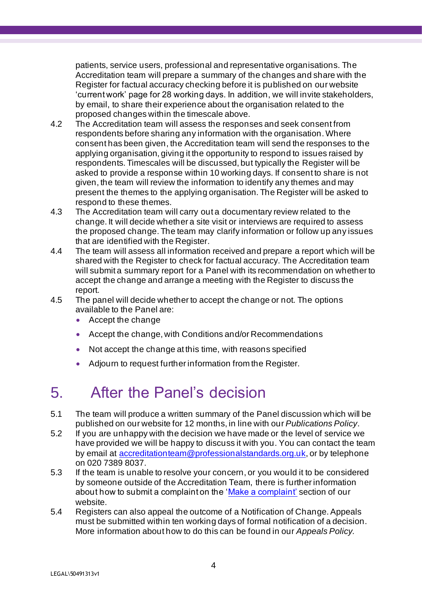patients, service users, professional and representative organisations. The Accreditation team will prepare a summary of the changes and share with the Register for factual accuracy checking before it is published on our website 'current work' page for 28 working days. In addition, we will invite stakeholders, by email, to share their experience about the organisation related to the proposed changes within the timescale above.

- 4.2 The Accreditation team will assess the responses and seek consent from respondents before sharing any information with the organisation. Where consent has been given, the Accreditation team will send the responses to the applying organisation, giving it the opportunity to respond to issues raised by respondents. Timescales will be discussed, but typically the Register will be asked to provide a response within 10 working days. If consent to share is not given, the team will review the information to identify any themes and may present the themes to the applying organisation. The Register will be asked to respond to these themes.
- 4.3 The Accreditation team will carry out a documentary review related to the change. It will decide whether a site visit or interviews are required to assess the proposed change. The team may clarify information or follow up any issues that are identified with the Register.
- 4.4 The team will assess all information received and prepare a report which will be shared with the Register to check for factual accuracy. The Accreditation team will submit a summary report for a Panel with its recommendation on whether to accept the change and arrange a meeting with the Register to discuss the report.
- 4.5 The panel will decide whether to accept the change or not. The options available to the Panel are:
	- Accept the change
	- Accept the change, with Conditions and/or Recommendations
	- Not accept the change at this time, with reasons specified
	- Adjourn to request further information from the Register.

### 5. After the Panel's decision

- 5.1 The team will produce a written summary of the Panel discussion which will be published on our website for 12 months, in line with our *Publications Policy*.
- 5.2 If you are unhappy with the decision we have made or the level of service we have provided we will be happy to discuss it with you. You can contact the team by email at [accreditationteam@professionalstandards.org.uk](mailto:accreditationteam@professionalstandards.org.uk), or by telephone on 020 7389 8037.
- 5.3 If the team is unable to resolve your concern, or you would it to be considered by someone outside of the Accreditation Team, there is further information about how to submit a complaint on the ['Make a complaint'](https://www.professionalstandards.org.uk/about-us/make-a-complaint-about-us) section of our website.
- 5.4 Registers can also appeal the outcome of a Notification of Change. Appeals must be submitted within ten working days of formal notification of a decision. More information about how to do this can be found in our *Appeals Policy.*